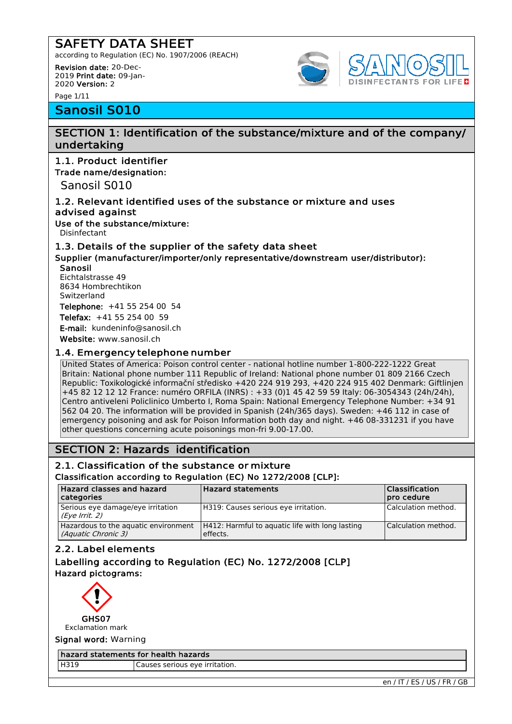according to Regulation (EC) No. 1907/2006 (REACH)

Revision date: 20-Dec-2019 Print date: 09-Jan-2020 Version: 2

Page 1/11

# Sanosil S010

# SECTION 1: Identification of the substance/mixture and of the company/

# undertaking

1.1. Product identifier Trade name/designation:

Sanosil S010

### 1.2. Relevant identified uses of the substance or mixture and uses advised against

Use of the substance/mixture:

Disinfectant

### 1.3. Details of the supplier of the safety data sheet

Supplier (manufacturer/importer/only representative/downstream user/distributor): Sanosil

Eichtalstrasse 49 8634 Hombrechtikon Switzerland

Telephone: +41 55 254 00 54

Telefax: +41 55 254 00 59

E-mail: [k](mailto:kundeninfo@sanosil.ch)[undeninfo@sanosil.ch](mailto:undeninfo@sanosil.ch)

Website: [www.sanosil.ch](http://www.sanosil.ch/)

### 1.4. Emergency telephone number

United States of America: Poison control center - national hotline number 1-800-222-1222 Great Britain: National phone number 111 Republic of Ireland: National phone number 01 809 2166 Czech Republic: Toxikologické informační středisko +420 224 919 293, +420 224 915 402 Denmark: Giftlinjen +45 82 12 12 12 France: numéro ORFILA (INRS) : +33 (0)1 45 42 59 59 Italy: 06-3054343 (24h/24h), Centro antiveleni Policlinico Umberto I, Roma Spain: National Emergency Telephone Number: +34 91 562 04 20. The information will be provided in Spanish (24h/365 days). Sweden: +46 112 in case of emergency poisoning and ask for Poison Information both day and night. +46 08-331231 if you have other questions concerning acute poisonings mon-fri 9.00-17.00.

# SECTION 2: Hazards identification

### 2.1. Classification of the substance or mixture Classification according to Regulation (EC) No 1272/2008 [CLP]:

| Hazard classes and hazard<br>  categories                   | <b>Hazard statements</b>                                    | Classification<br>pro cedure |
|-------------------------------------------------------------|-------------------------------------------------------------|------------------------------|
| Serious eye damage/eye irritation<br>(Eye Irrit. 2)         | H319: Causes serious eye irritation.                        | Calculation method.          |
| Hazardous to the aquatic environment<br>(Aquatic Chronic 3) | H412: Harmful to aguatic life with long lasting<br>effects. | Calculation method.          |

### 2.2. Label elements

### Labelling according to Regulation (EC) No. 1272/2008 [CLP] Hazard pictograms:



Exclamation mark

Signal word: Warning

#### hazard statements for health hazards

H319 Causes serious eye irritation.

en / IT / ES / US / FR / GB

SINFECTANTS FOR LIFED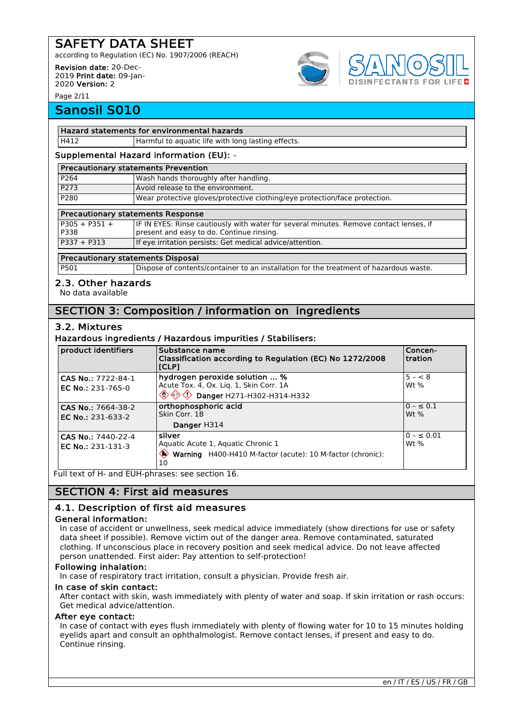according to Regulation (EC) No. 1907/2006 (REACH)

Revision date: 20-Dec-2019 Print date: 09-Jan-2020 Version: 2

Page 2/11

# Sanosil S010

#### Hazard statements for environmental hazards

H412 **Harmful to aquatic life with long lasting effects.** 

### Supplemental Hazard information (EU): -

| <b>Precautionary statements Prevention</b> |                                                                            |  |  |
|--------------------------------------------|----------------------------------------------------------------------------|--|--|
| P264                                       | Wash hands thoroughly after handling.                                      |  |  |
| P273                                       | Avoid release to the environment.                                          |  |  |
| P280                                       | Wear protective gloves/protective clothing/eye protection/face protection. |  |  |

### Precautionary statements Response

|                         | $\blacksquare$ recaduollary statements response                                                                                     |  |  |  |
|-------------------------|-------------------------------------------------------------------------------------------------------------------------------------|--|--|--|
| $P305 + P351 +$<br>P338 | IF IN EYES: Rinse cautiously with water for several minutes. Remove contact lenses, if<br>present and easy to do. Continue rinsing. |  |  |  |
| $P337 + P313$           | If eye irritation persists: Get medical advice/attention.                                                                           |  |  |  |
|                         |                                                                                                                                     |  |  |  |

### Precautionary statements Disposal

P501 Dispose of contents/container to an installation for the treatment of hazardous waste.

### 2.3. Other hazards

No data available

# SECTION 3: Composition / information on ingredients

### 3.2. Mixtures

### Hazardous ingredients / Hazardous impurities / Stabilisers:

| product identifiers                     | Substance name<br>Classification according to Regulation (EC) No 1272/2008<br> [CLP]                                                         | Concen-<br>tration        |
|-----------------------------------------|----------------------------------------------------------------------------------------------------------------------------------------------|---------------------------|
| CAS No.: 7722-84-1<br>EC No.: 231-765-0 | hydrogen peroxide solution  %<br>Acute Tox. 4, Ox. Liq. 1, Skin Corr. 1A<br>$\langle \diamondsuit$ $\diamondsuit$ Danger H271-H302-H314-H332 | $5 - < 8$<br>Wt $%$       |
| CAS No.: 7664-38-2<br>EC No.: 231-633-2 | orthophosphoric acid<br>Skin Corr. 1B<br>Danger H314                                                                                         | $0 - \le 0.1$<br>Wt $%$   |
| CAS No.: 7440-22-4<br>EC No.: 231-131-3 | <b>silver</b><br>Aquatic Acute 1, Aquatic Chronic 1<br>$\diamondsuit$<br>Warning H400-H410 M-factor (acute): 10 M-factor (chronic):<br>10    | $0 - \leq 0.01$<br>Wt $%$ |

Full text of H- and EUH-phrases: see section 16.

### SECTION 4: First aid measures

### 4.1. Description of first aid measures

### General information:

In case of accident or unwellness, seek medical advice immediately (show directions for use or safety data sheet if possible). Remove victim out of the danger area. Remove contaminated, saturated clothing. If unconscious place in recovery position and seek medical advice. Do not leave affected person unattended. First aider: Pay attention to self-protection!

### Following inhalation:

In case of respiratory tract irritation, consult a physician. Provide fresh air.

### In case of skin contact:

After contact with skin, wash immediately with plenty of water and soap. If skin irritation or rash occurs: Get medical advice/attention.

### After eye contact:

In case of contact with eyes flush immediately with plenty of flowing water for 10 to 15 minutes holding eyelids apart and consult an ophthalmologist. Remove contact lenses, if present and easy to do. Continue rinsing.

**ECTANTS FOR LIFED**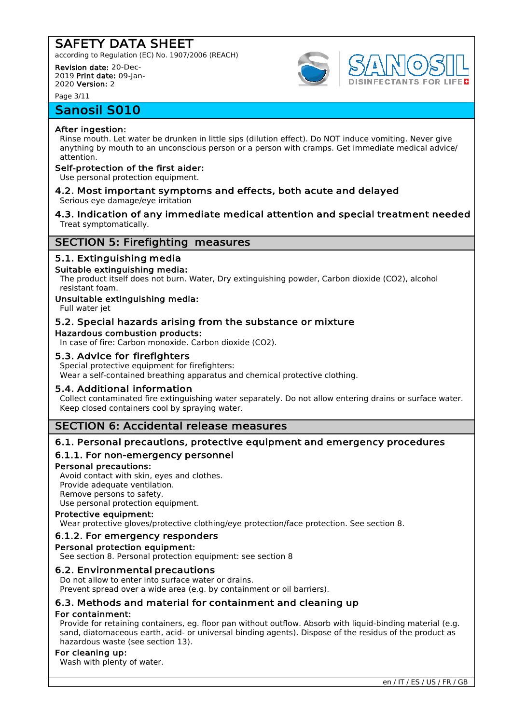according to Regulation (EC) No. 1907/2006 (REACH)

Revision date: 20-Dec-2019 Print date: 09-Jan-2020 Version: 2

Page 3/11

# Sanosil S010

### After ingestion:

Rinse mouth. Let water be drunken in little sips (dilution effect). Do NOT induce vomiting. Never give anything by mouth to an unconscious person or a person with cramps. Get immediate medical advice/ attention.

### Self-protection of the first aider:

Use personal protection equipment.

- 4.2. Most important symptoms and effects, both acute and delayed Serious eye damage/eye irritation
- 4.3. Indication of any immediate medical attention and special treatment needed Treat symptomatically.

### SECTION 5: Firefighting measures

### 5.1. Extinguishing media

### Suitable extinguishing media:

The product itself does not burn. Water, Dry extinguishing powder, Carbon dioxide (CO2), alcohol resistant foam.

### Unsuitable extinguishing media:

Full water jet

### 5.2. Special hazards arising from the substance or mixture

Hazardous combustion products:

In case of fire: Carbon monoxide. Carbon dioxide (CO2).

### 5.3. Advice for firefighters

Special protective equipment for firefighters:

Wear a self-contained breathing apparatus and chemical protective clothing.

### 5.4. Additional information

Collect contaminated fire extinguishing water separately. Do not allow entering drains or surface water. Keep closed containers cool by spraying water.

### SECTION 6: Accidental release measures

### 6.1. Personal precautions, protective equipment and emergency procedures

### 6.1.1. For non-emergency personnel

### Personal precautions:

Avoid contact with skin, eyes and clothes. Provide adequate ventilation. Remove persons to safety. Use personal protection equipment.

### Protective equipment:

Wear protective gloves/protective clothing/eye protection/face protection. See section 8.

### 6.1.2. For emergency responders

# Personal protection equipment:

See section 8. Personal protection equipment: see section 8

### 6.2. Environmental precautions

Do not allow to enter into surface water or drains. Prevent spread over a wide area (e.g. by containment or oil barriers).

### 6.3. Methods and material for containment and cleaning up

### For containment:

Provide for retaining containers, eg. floor pan without outflow. Absorb with liquid-binding material (e.g. sand, diatomaceous earth, acid- or universal binding agents). Dispose of the residus of the product as hazardous waste (see section 13).

### For cleaning up:

Wash with plenty of water.



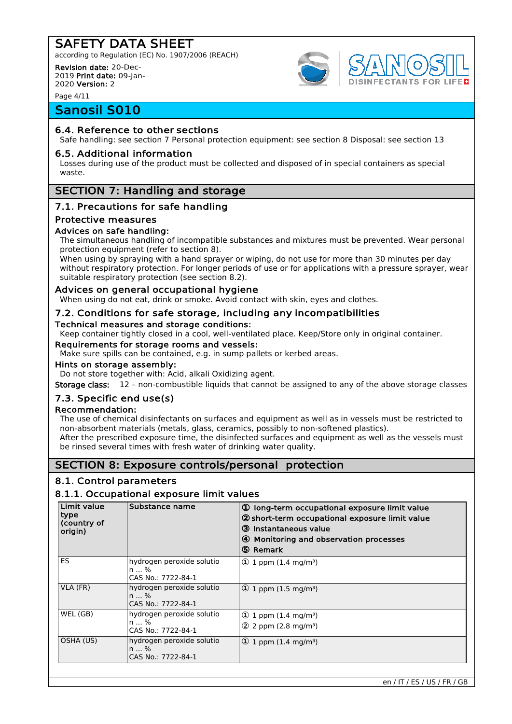according to Regulation (EC) No. 1907/2006 (REACH)

Revision date: 20-Dec-2019 Print date: 09-Jan-2020 Version: 2

Page 4/11

# Sanosil S010

### 6.4. Reference to other sections

Safe handling: see section 7 Personal protection equipment: see section 8 Disposal: see section 13

### 6.5. Additional information

Losses during use of the product must be collected and disposed of in special containers as special waste.

### SECTION 7: Handling and storage

### 7.1. Precautions for safe handling

### Protective measures

### Advices on safe handling:

The simultaneous handling of incompatible substances and mixtures must be prevented. Wear personal protection equipment (refer to section 8).

When using by spraying with a hand sprayer or wiping, do not use for more than 30 minutes per day without respiratory protection. For longer periods of use or for applications with a pressure sprayer, wear suitable respiratory protection (see section 8.2).

### Advices on general occupational hygiene

When using do not eat, drink or smoke. Avoid contact with skin, eyes and clothes.

### 7.2. Conditions for safe storage, including any incompatibilities

#### Technical measures and storage conditions:

Keep container tightly closed in a cool, well-ventilated place. Keep/Store only in original container.

### Requirements for storage rooms and vessels:

Make sure spills can be contained, e.g. in sump pallets or kerbed areas.

#### Hints on storage assembly:

Do not store together with: Acid, alkali Oxidizing agent.

Storage class: 12 – non-combustible liquids that cannot be assigned to any of the above storage classes

### 7.3. Specific end use(s)

### Recommendation:

The use of chemical disinfectants on surfaces and equipment as well as in vessels must be restricted to non-absorbent materials (metals, glass, ceramics, possibly to non-softened plastics). After the prescribed exposure time, the disinfected surfaces and equipment as well as the vessels must be rinsed several times with fresh water of drinking water quality.

### SECTION 8: Exposure controls/personal protection

### 8.1. Control parameters

### 8.1.1. Occupational exposure limit values

| Limit value<br>type<br>(country of<br>origin) | Substance name                                            | 10 long-term occupational exposure limit value<br>2 short-term occupational exposure limit value<br>3 Instantaneous value<br>4 Monitoring and observation processes<br>5 Remark |
|-----------------------------------------------|-----------------------------------------------------------|---------------------------------------------------------------------------------------------------------------------------------------------------------------------------------|
| ES                                            | hydrogen peroxide solutio<br>n  %<br>CAS No.: 7722-84-1   | $\Phi$ 1 ppm (1.4 mg/m <sup>3</sup> )                                                                                                                                           |
| VLA (FR)                                      | hydrogen peroxide solutio<br>$n \%$<br>CAS No.: 7722-84-1 | $\Phi$ 1 ppm (1.5 mg/m <sup>3</sup> )                                                                                                                                           |
| WEL (GB)                                      | hydrogen peroxide solutio<br>n  %                         | $\Phi$ 1 ppm (1.4 mg/m <sup>3</sup> )                                                                                                                                           |
|                                               | CAS No.: 7722-84-1                                        | $(2)$ 2 ppm (2.8 mg/m <sup>3</sup> )                                                                                                                                            |
| OSHA (US)                                     | hydrogen peroxide solutio<br>$n$ %<br>CAS No.: 7722-84-1  | (1) 1 ppm $(1.4 \text{ mg/m}^3)$                                                                                                                                                |



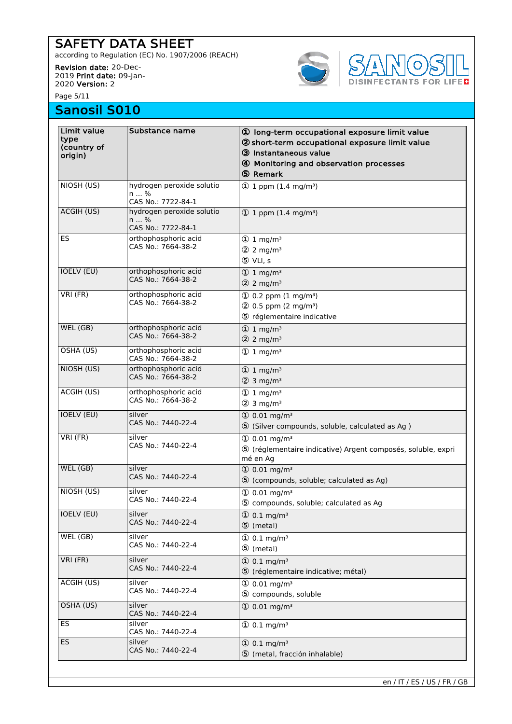according to Regulation (EC) No. 1907/2006 (REACH)

Revision date: 20-Dec-2019 Print date: 09-Jan-2020 Version: 2

Page 5/11

# Sanosil S010



| Limit value<br>type<br>(country of<br>origin)<br>NIOSH (US) | Substance name<br>hydrogen peroxide solutio<br>n  %     | 10 long-term occupational exposure limit value<br>2 short-term occupational exposure limit value<br>3 Instantaneous value<br>4 Monitoring and observation processes<br>டு Remark<br>$\Phi$ 1 ppm (1.4 mg/m <sup>3</sup> ) |
|-------------------------------------------------------------|---------------------------------------------------------|---------------------------------------------------------------------------------------------------------------------------------------------------------------------------------------------------------------------------|
|                                                             | CAS No.: 7722-84-1                                      |                                                                                                                                                                                                                           |
| ACGIH (US)                                                  | hydrogen peroxide solutio<br>n  %<br>CAS No.: 7722-84-1 | $\textcircled{1}$ 1 ppm (1.4 mg/m <sup>3</sup> )                                                                                                                                                                          |
| ES                                                          | orthophosphoric acid<br>CAS No.: 7664-38-2              | $\textcircled{1}$ 1 mg/m <sup>3</sup><br>$2 \text{ mg/m}^3$<br>5 VLI, s                                                                                                                                                   |
| <b>IOELV (EU)</b>                                           | orthophosphoric acid<br>CAS No.: 7664-38-2              | $\textcircled{1}$ 1 mg/m <sup>3</sup><br>$2 \text{ mg/m}^3$                                                                                                                                                               |
| VRI (FR)                                                    | orthophosphoric acid<br>CAS No.: 7664-38-2              | $(1)$ 0.2 ppm $(1 \text{ mg/m}^3)$<br>$(2)$ 0.5 ppm (2 mg/m <sup>3</sup> )<br>5 réglementaire indicative                                                                                                                  |
| WEL (GB)                                                    | orthophosphoric acid<br>CAS No.: 7664-38-2              | $\textcircled{1}$ 1 mg/m <sup>3</sup><br>$2 \text{ mg/m}^3$                                                                                                                                                               |
| OSHA (US)                                                   | orthophosphoric acid<br>CAS No.: 7664-38-2              | $\textcircled{1}$ 1 mg/m <sup>3</sup>                                                                                                                                                                                     |
| NIOSH (US)                                                  | orthophosphoric acid<br>CAS No.: 7664-38-2              | $\textcircled{1}$ 1 mg/m <sup>3</sup><br>$(2)$ 3 mg/m <sup>3</sup>                                                                                                                                                        |
| ACGIH (US)                                                  | orthophosphoric acid<br>CAS No.: 7664-38-2              | $\textcircled{1}$ 1 mg/m <sup>3</sup><br>$(2)$ 3 mg/m <sup>3</sup>                                                                                                                                                        |
| IOELV (EU)                                                  | silver<br>CAS No.: 7440-22-4                            | $\textcircled{1}$ 0.01 mg/m <sup>3</sup><br>5 (Silver compounds, soluble, calculated as Ag)                                                                                                                               |
| VRI (FR)                                                    | silver<br>CAS No.: 7440-22-4                            | $① 0.01$ mg/m <sup>3</sup><br>5 (réglementaire indicative) Argent composés, soluble, expri<br>mé en Ag                                                                                                                    |
| WEL (GB)                                                    | silver<br>CAS No.: 7440-22-4                            | $① 0.01$ mg/m <sup>3</sup><br>5 (compounds, soluble; calculated as Ag)                                                                                                                                                    |
| NIOSH (US)                                                  | silver<br>CAS No.: 7440-22-4                            | $\textcircled{1}$ 0.01 mg/m <sup>3</sup><br>5 compounds, soluble; calculated as Ag                                                                                                                                        |
| <b>IOELV (EU)</b>                                           | silver<br>CAS No.: 7440-22-4                            | $\textcircled{1}$ 0.1 mg/m <sup>3</sup><br>5 (metal)                                                                                                                                                                      |
| WEL (GB)                                                    | silver<br>CAS No.: 7440-22-4                            | $\textcircled{1}$ 0.1 mg/m <sup>3</sup><br>5 (metal)                                                                                                                                                                      |
| VRI (FR)                                                    | silver<br>CAS No.: 7440-22-4                            | $\textcircled{1}$ 0.1 mg/m <sup>3</sup><br>5 (réglementaire indicative; métal)                                                                                                                                            |
| <b>ACGIH (US)</b>                                           | silver<br>CAS No.: 7440-22-4                            | $(1) 0.01$ mg/m <sup>3</sup><br>5 compounds, soluble                                                                                                                                                                      |
| OSHA (US)                                                   | silver<br>CAS No.: 7440-22-4                            | $\textcircled{1}$ 0.01 mg/m <sup>3</sup>                                                                                                                                                                                  |
| ES                                                          | silver<br>CAS No.: 7440-22-4                            | $\textcircled{1}$ 0.1 mg/m <sup>3</sup>                                                                                                                                                                                   |
| <b>ES</b>                                                   | silver<br>CAS No.: 7440-22-4                            | $\textcircled{1}$ 0.1 mg/m <sup>3</sup><br>5 (metal, fracción inhalable)                                                                                                                                                  |

en / IT / ES / US / FR / GB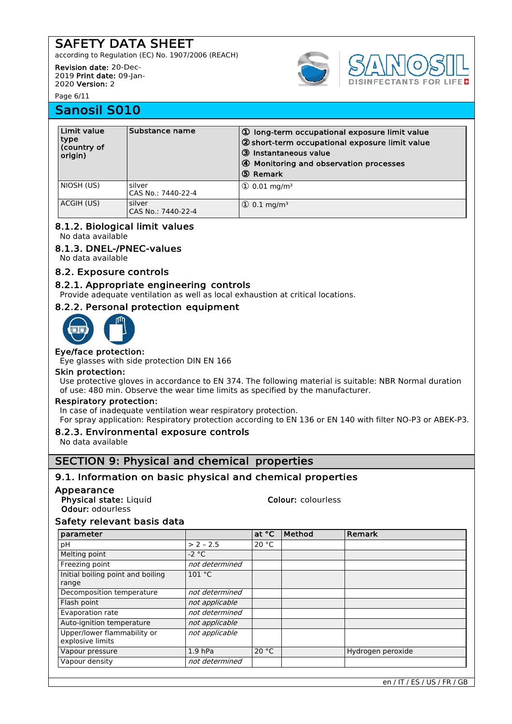according to Regulation (EC) No. 1907/2006 (REACH)

Revision date: 20-Dec-2019 Print date: 09-Jan-2020 Version: 2

Page 6/11

# Sanosil S010

| Limit value<br>type<br>(country of<br>origin) | Substance name               | 10 long-term occupational exposure limit value<br>2 short-term occupational exposure limit value<br>3 Instantaneous value<br>4 Monitoring and observation processes<br>5 Remark |
|-----------------------------------------------|------------------------------|---------------------------------------------------------------------------------------------------------------------------------------------------------------------------------|
| NIOSH (US)                                    | silver<br>CAS No.: 7440-22-4 | $\Omega$ 0.01 mg/m <sup>3</sup>                                                                                                                                                 |
| ACGIH (US)                                    | silver<br>CAS No.: 7440-22-4 | $\Phi$ 0.1 mg/m <sup>3</sup>                                                                                                                                                    |

### 8.1.2. Biological limit values

No data available

### 8.1.3. DNEL-/PNEC-values

No data available

### 8.2. Exposure controls

### 8.2.1. Appropriate engineering controls

Provide adequate ventilation as well as local exhaustion at critical locations.

### 8.2.2. Personal protection equipment



### Eye/face protection:

Eye glasses with side protection DIN EN 166

#### Skin protection:

Use protective gloves in accordance to EN 374. The following material is suitable: NBR Normal duration of use: 480 min. Observe the wear time limits as specified by the manufacturer.

### Respiratory protection:

In case of inadequate ventilation wear respiratory protection.

For spray application: Respiratory protection according to EN 136 or EN 140 with filter NO-P3 or ABEK-P3.

### 8.2.3. Environmental exposure controls

No data available

### SECTION 9: Physical and chemical properties

### 9.1. Information on basic physical and chemical properties

### Appearance

Physical state: Liquid Colour: colourless Odour: odourless

### Safety relevant basis data

| parameter                                       |                | at °C | Method | Remark            |
|-------------------------------------------------|----------------|-------|--------|-------------------|
| рH                                              | $> 2 - 2.5$    | 20 °C |        |                   |
| Melting point                                   | $-2$ °C        |       |        |                   |
| Freezing point                                  | not determined |       |        |                   |
| Initial boiling point and boiling<br>range      | 101 °C         |       |        |                   |
| Decomposition temperature                       | not determined |       |        |                   |
| Flash point                                     | not applicable |       |        |                   |
| Evaporation rate                                | not determined |       |        |                   |
| Auto-ignition temperature                       | not applicable |       |        |                   |
| Upper/lower flammability or<br>explosive limits | not applicable |       |        |                   |
| Vapour pressure                                 | $1.9$ hPa      | 20 °C |        | Hydrogen peroxide |
| Vapour density                                  | not determined |       |        |                   |

**IFECTANTS FOR LIFED**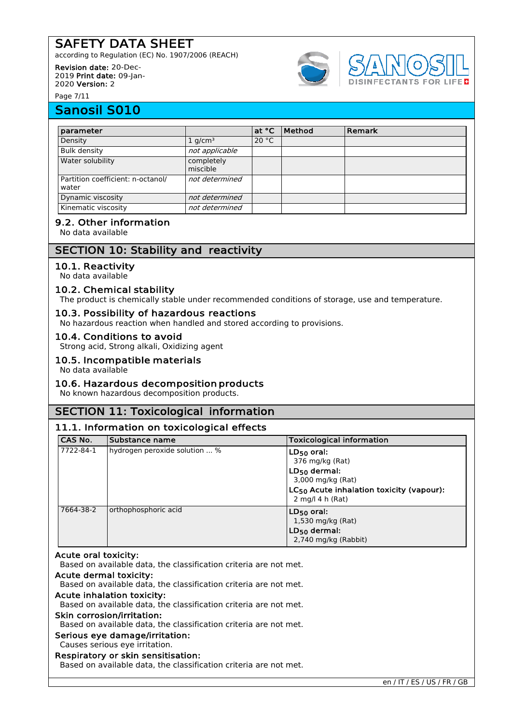according to Regulation (EC) No. 1907/2006 (REACH)

#### Revision date: 20-Dec-2019 Print date: 09-Jan-

2020 Version: 2





Page 7/11

# Sanosil S010

| parameter                                  |                        | at °C | <b>Method</b> | Remark |
|--------------------------------------------|------------------------|-------|---------------|--------|
| Density                                    | $1$ g/cm <sup>3</sup>  | 20 °C |               |        |
| <b>Bulk density</b>                        | not applicable         |       |               |        |
| Water solubility                           | completely<br>miscible |       |               |        |
| Partition coefficient: n-octanol/<br>water | not determined         |       |               |        |
| Dynamic viscosity                          | not determined         |       |               |        |
| Kinematic viscosity                        | not determined         |       |               |        |

### 9.2. Other information

No data available

# SECTION 10: Stability and reactivity

### 10.1. Reactivity

No data available

### 10.2. Chemical stability

The product is chemically stable under recommended conditions of storage, use and temperature.

### 10.3. Possibility of hazardous reactions

No hazardous reaction when handled and stored according to provisions.

### 10.4. Conditions to avoid

Strong acid, Strong alkali, Oxidizing agent

### 10.5. Incompatible materials

No data available

### 10.6. Hazardous decomposition products

No known hazardous decomposition products.

# SECTION 11: Toxicological information

### 11.1. Information on toxicological effects

| <b>CAS No.</b> | Substance name                | <b>Toxicological information</b>                                                                                                                                      |
|----------------|-------------------------------|-----------------------------------------------------------------------------------------------------------------------------------------------------------------------|
| 7722-84-1      | hydrogen peroxide solution  % | $LD_{50}$ oral:<br>376 mg/kg (Rat)<br>$LD_{50}$ dermal:<br>3,000 mg/kg (Rat)<br>$LC_{50}$ Acute inhalation toxicity (vapour):<br>$2 \text{ mg/l } 4 \text{ h }$ (Rat) |
| 7664-38-2      | orthophosphoric acid          | $LD_{50}$ oral:<br>1,530 mg/kg (Rat)<br>$LD_{50}$ dermal:<br>2,740 mg/kg (Rabbit)                                                                                     |

### Acute oral toxicity:

Based on available data, the classification criteria are not met.

#### Acute dermal toxicity:

Based on available data, the classification criteria are not met.

### Acute inhalation toxicity:

Based on available data, the classification criteria are not met.

#### Skin corrosion/irritation:

Based on available data, the classification criteria are not met.

#### Serious eye damage/irritation:

#### Causes serious eye irritation.

### Respiratory or skin sensitisation:

Based on available data, the classification criteria are not met.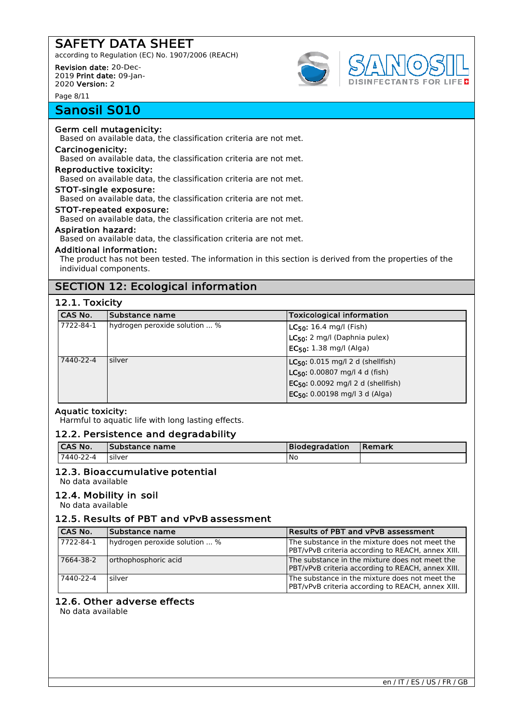according to Regulation (EC) No. 1907/2006 (REACH)

Revision date: 20-Dec-2019 Print date: 09-Jan-2020 Version: 2

Page 8/11

# Sanosil S010

# Germ cell mutagenicity:

Based on available data, the classification criteria are not met.

#### Carcinogenicity:

Based on available data, the classification criteria are not met.

### Reproductive toxicity:

Based on available data, the classification criteria are not met.

### STOT-single exposure:

Based on available data, the classification criteria are not met.

# STOT-repeated exposure:

Based on available data, the classification criteria are not met.

### Aspiration hazard:

Based on available data, the classification criteria are not met.

### Additional information:

The product has not been tested. The information in this section is derived from the properties of the individual components.

# SECTION 12: Ecological information

### 12.1. Toxicity

| CAS No.   | Substance name                | <b>Toxicological information</b>                                                                                                                                |
|-----------|-------------------------------|-----------------------------------------------------------------------------------------------------------------------------------------------------------------|
| 7722-84-1 | hydrogen peroxide solution  % | $LC_{50}$ : 16.4 mg/l (Fish)<br>LC <sub>50</sub> : 2 mg/l (Daphnia pulex)<br>$EC_{50}$ : 1.38 mg/l (Alga)                                                       |
| 7440-22-4 | silver                        | $LC_{50}$ : 0.015 mg/l 2 d (shellfish)<br>$LC_{50}$ : 0.00807 mg/l 4 d (fish)<br>$EC_{50}$ : 0.0092 mg/l 2 d (shellfish)<br>$EC_{50}$ : 0.00198 mg/l 3 d (Alga) |

### Aquatic toxicity:

Harmful to aquatic life with long lasting effects.

### 12.2. Persistence and degradability

| <b>CAS No.</b> | Substance name | <b>Biodegradation</b> | l Remark |
|----------------|----------------|-----------------------|----------|
| 7440-22-4      | silver         | No                    |          |

### 12.3. Bioaccumulative potential

No data available

### 12.4. Mobility in soil

No data available

### 12.5. Results of PBT and vPvB assessment

| <b>CAS No.</b> | Substance name                | <b>Results of PBT and vPvB assessment</b>                                                           |
|----------------|-------------------------------|-----------------------------------------------------------------------------------------------------|
| 7722-84-1      | hydrogen peroxide solution  % | The substance in the mixture does not meet the<br>PBT/vPvB criteria according to REACH, annex XIII. |
| 7664-38-2      | orthophosphoric acid          | The substance in the mixture does not meet the<br>PBT/vPvB criteria according to REACH, annex XIII. |
| 7440-22-4      | silver                        | The substance in the mixture does not meet the<br>PBT/vPvB criteria according to REACH, annex XIII. |

### 12.6. Other adverse effects

No data available

**DISINFECTANTS FOR LIFED**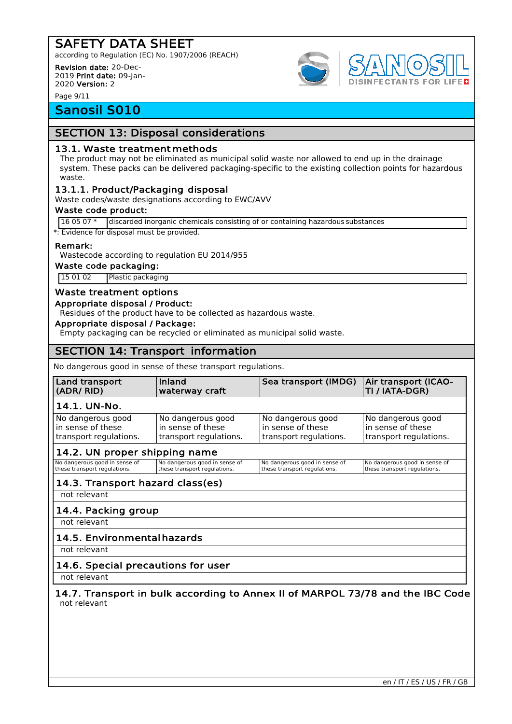according to Regulation (EC) No. 1907/2006 (REACH)

Revision date: 20-Dec-2019 Print date: 09-Jan-2020 Version: 2

Page 9/11

# Sanosil S010

# SECTION 13: Disposal considerations

### 13.1. Waste treatment methods

The product may not be eliminated as municipal solid waste nor allowed to end up in the drainage system. These packs can be delivered packaging-specific to the existing collection points for hazardous waste.

### 13.1.1. Product/Packaging disposal

Waste codes/waste designations according to EWC/AVV

#### Waste code product:

16 05 07 \* discarded inorganic chemicals consisting of or containing hazardous substances

\*: Evidence for disposal must be provided.

#### Remark:

Wastecode according to regulation EU 2014/955

Waste code packaging:

15 01 02 Plastic packaging

### Waste treatment options

#### Appropriate disposal / Product:

Residues of the product have to be collected as hazardous waste.

### Appropriate disposal / Package:

Empty packaging can be recycled or eliminated as municipal solid waste.

# SECTION 14: Transport information

No dangerous good in sense of these transport regulations.

| Land transport                   | Inland                        | Sea transport (IMDG)          | Air transport (ICAO-          |  |
|----------------------------------|-------------------------------|-------------------------------|-------------------------------|--|
| (ADR/RID)                        | waterway craft                |                               | TI / IATA-DGR)                |  |
| 14.1. UN-No.                     |                               |                               |                               |  |
| No dangerous good                | No dangerous good             | No dangerous good             | No dangerous good             |  |
| in sense of these                | in sense of these             | in sense of these             | in sense of these             |  |
| transport regulations.           | transport regulations.        | transport regulations.        | transport regulations.        |  |
| 14.2. UN proper shipping name    |                               |                               |                               |  |
| No dangerous good in sense of    | No dangerous good in sense of | No dangerous good in sense of | No dangerous good in sense of |  |
| these transport regulations.     | these transport regulations.  | these transport regulations.  | these transport regulations.  |  |
| 14.3. Transport hazard class(es) |                               |                               |                               |  |

not relevant

14.4. Packing group

not relevant

### 14.5. Environmental hazards

not relevant

### 14.6. Special precautions for user

not relevant

### 14.7. Transport in bulk according to Annex II of MARPOL 73/78 and the IBC Code not relevant

**NFECTANTS FOR LIFED**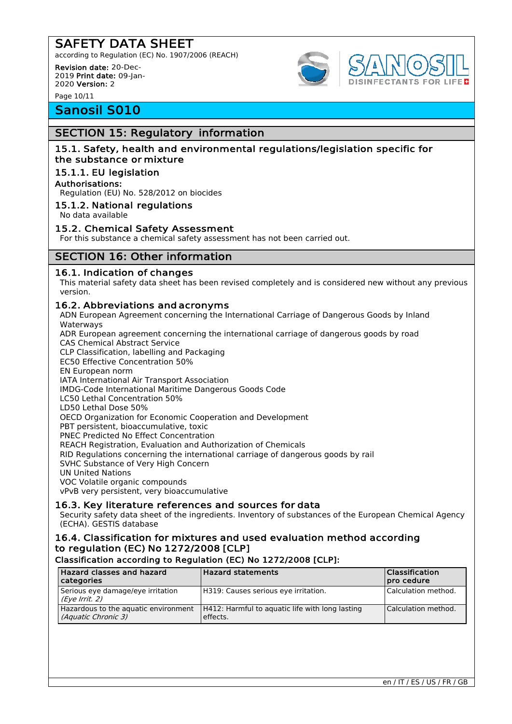according to Regulation (EC) No. 1907/2006 (REACH)

Revision date: 20-Dec-2019 Print date: 09-Jan-2020 Version: 2

Page 10/11

# Sanosil S010

### SECTION 15: Regulatory information

### 15.1. Safety, health and environmental regulations/legislation specific for the substance or mixture

### 15.1.1. EU legislation

### Authorisations:

Regulation (EU) No. 528/2012 on biocides

### 15.1.2. National regulations

No data available

### 15.2. Chemical Safety Assessment

For this substance a chemical safety assessment has not been carried out.

### SECTION 16: Other information

### 16.1. Indication of changes

This material safety data sheet has been revised completely and is considered new without any previous version.

### 16.2. Abbreviations and acronyms

ADN European Agreement concerning the International Carriage of Dangerous Goods by Inland Waterways

ADR European agreement concerning the international carriage of dangerous goods by road CAS Chemical Abstract Service

CLP Classification, labelling and Packaging

EC50 Effective Concentration 50%

EN European norm

IATA International Air Transport Association

IMDG-Code International Maritime Dangerous Goods Code LC50 Lethal Concentration 50%

LD50 Lethal Dose 50%

OECD Organization for Economic Cooperation and Development

PBT persistent, bioaccumulative, toxic

PNEC Predicted No Effect Concentration

REACH Registration, Evaluation and Authorization of Chemicals

RID Regulations concerning the international carriage of dangerous goods by rail

SVHC Substance of Very High Concern

UN United Nations

VOC Volatile organic compounds

vPvB very persistent, very bioaccumulative

### 16.3. Key literature references and sources for data

Security safety data sheet of the ingredients. Inventory of substances of the European Chemical Agency (ECHA). GESTIS database

### 16.4. Classification for mixtures and used evaluation method according to regulation (EC) No 1272/2008 [CLP]

### Classification according to Regulation (EC) No 1272/2008 [CLP]:

| Hazard classes and hazard<br>  categories                   | <b>Hazard statements</b>                                    | Classification<br>pro cedure |
|-------------------------------------------------------------|-------------------------------------------------------------|------------------------------|
| Serious eye damage/eye irritation<br>(Eye Irrit. 2)         | H319: Causes serious eye irritation.                        | Calculation method.          |
| Hazardous to the aquatic environment<br>(Aquatic Chronic 3) | H412: Harmful to aguatic life with long lasting<br>effects. | Calculation method.          |

**DISINFECTANTS FOR LIFED**